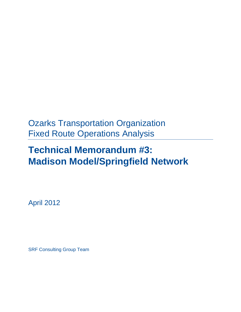# Ozarks Transportation Organization Fixed Route Operations Analysis

# **Technical Memorandum #3: Madison Model/Springfield Network**

April 2012

SRF Consulting Group Team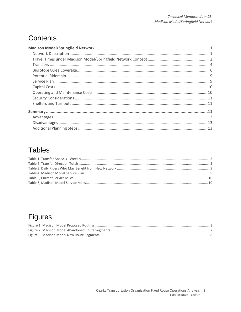## **Contents**

## **Tables**

## **Figures**

 $\mathbf{i}$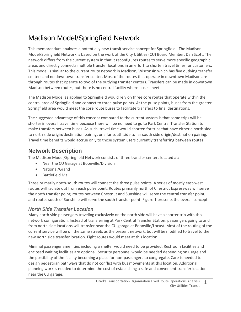## <span id="page-4-0"></span>Madison Model/Springfield Network

This memorandum analyzes a potentially new transit service concept for Springfield. The Madison Model/Springfield Network is based on the work of the City Utilities (CU) Board Member, Dan Scott. The network differs from the current system in that it reconfigures routes to serve more specific geographic areas and directly connects multiple transfer locations in an effort to shorten travel times for customers. This model is similar to the current route network in Madison, Wisconsin which has five outlying transfer centers and no downtown transfer center. Most of the routes that operate in downtown Madison are through routes that operate to two of the outlying transfer centers. Transfers can be made in downtown Madison between routes, but there is no central facility where buses meet.

The Madison Model as applied to Springfield would rely on three core routes that operate within the central area of Springfield and connect to three pulse points. At the pulse points, buses from the greater Springfield area would meet the core route buses to facilitate transfers to final destinations.

The suggested advantage of this concept compared to the current system is that some trips will be shorter in overall travel time because there will be no need to go to Park Central Transfer Station to make transfers between buses. As such, travel time would shorten for trips that have either a north side to north side origin/destination pairing, or a far south side to far south side origin/destination pairing. Travel time benefits would accrue only to those system users currently transferring between routes.

### <span id="page-4-1"></span>**Network Description**

The Madison Model/Springfield Network consists of three transfer centers located at:

- Near the CU Garage at Boonville/Division
- National/Grand
- Battlefield Mall

Three primarily north-south routes will connect the three pulse points. A series of mostly east-west routes will radiate out from each pulse point. Routes primarily north of Chestnut Expressway will serve the north transfer point; routes between Chestnut and Sunshine will serve the central transfer point; and routes south of Sunshine will serve the south transfer point. [Figure 1](#page-6-0) presents the overall concept.

### *North Side Transfer Location*

Many north side passengers traveling exclusively on the north side will have a shorter trip with this network configuration. Instead of transferring at Park Central Transfer Station, passengers going to and from north side locations will transfer near the CU garage at Boonville/Locust. Most of the routing of the current service will be on the same streets as the present network, but will be modified to travel to the new north side transfer location. Eight routes would meet at this location.

Minimal passenger amenities including a shelter would need to be provided. Restroom facilities and enclosed waiting facilities are optional. Security personnel would be needed depending on usage and the possibility of the facility becoming a place for non-passengers to congregate. Care is needed to design pedestrian pathways that do not conflict with bus movements at this location. Additional planning work is needed to determine the cost of establishing a safe and convenient transfer location near the CU garage.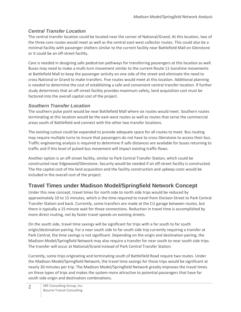### *Central Transfer Location*

The central transfer location could be located near the corner of National/Grand. At this location, two of the three core routes would meet as well as the central east-west collector routes. This could also be a minimal facility with passenger shelters similar to the current facility near Battlefield Mall on Glenstone or it could be an off-street facility.

Care is needed in designing safe pedestrian pathways for transferring passengers at this location as well. Buses may need to make a multi-turn movement similar to the current Route 11-Sunshine movements at Battlefield Mall to keep the passenger activity on one side of the street and eliminate the need to cross National or Grand to make transfers. Five routes would meet at this location. Additional planning is needed to determine the cost of establishing a safe and convenient central transfer location. If further study determines that an off-street facility provides maximum safety, land acquisition cost must be factored into the overall capital cost of the project.

### *Southern Transfer Location*

The southern pulse point would be near Battlefield Mall where six routes would meet. Southern routes terminating at this location would be the east-west routes as well as routes that serve the commercial areas south of Battlefield and connect with the other two transfer locations.

The existing cutout could be expanded to provide adequate space for all routes to meet. Bus routing may require multiple turns to insure that passengers do not have to cross Glenstone to access their bus. Traffic engineering analysis is required to determine if safe distances are available for buses returning to traffic and if this level of pulsed bus movement will impact existing traffic flows.

Another option is an off-street facility, similar to Park Central Transfer Station, which could be constructed near Edgewood/Glenstone. Security would be needed if an off-street facility is constructed. The the capital cost of the land acquisition and the facility construction and upkeep costs would be included in the overall cost of the project.

### <span id="page-5-0"></span>**Travel Times under Madison Model/Springfield Network Concept**

Under this new concept, travel times for north side to north side trips would be reduced by approximately 10 to 15 minutes, which is the time required to travel from Division Street to Park Central Transfer Station and back. Currently, some transfers are made at the CU garage between routes, but there is typically a 15 minute wait for those connections. Reduction in travel time is accomplished by more direct routing, not by faster travel speeds on existing streets.

On the south side, travel time savings will be significant for trips with a far south to far south origin/destination pairing. For a near south side to far south side trip currently requiring a transfer at Park Central, the time savings is not significant. Depending on the origin and destination pairing, the Madison Model/Springfield Network may also require a transfer for near south to near south side trips. The transfer will occur at National/Grand instead of Park Central Transfer Station.

Currently, some trips originating and terminating south of Battlefield Road require two routes. Under the Madison Model/Springfield Network, the travel time savings for those trips would be significant at nearly 30 minutes per trip. The Madison Model/Springfield Network greatly improves the travel times on these types of trips and makes the system more attractive to potential passengers that have far south side origin and destination combinations.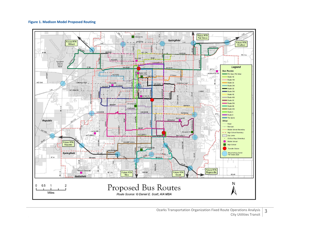#### **Figure 1. Madison Model Proposed Routing**

<span id="page-6-0"></span>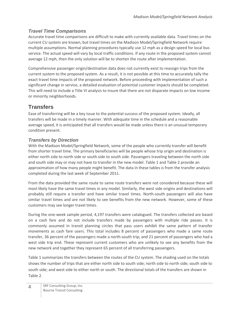### *Travel Time Comparisons*

Accurate travel time comparisons are difficult to make with currently available data. Travel times on the current CU system are known, but travel times on the Madison Model/Springfield Network require multiple assumptions. Normal planning procedures typically use 12 mph as a design speed for local bus service. The actual speed will vary by local traffic conditions. If any route in the proposed system cannot average 12 mph, then the only solution will be to shorten the route after implementation.

Comprehensive passenger origin/destination data does not currently exist to reassign trips from the current system to the proposed system. As a result, it is not possible at this time to accurately tally the exact travel time impacts of the proposed network. Before proceeding with implementation of such a significant change in service, a detailed evaluation of potential customer impacts should be completed. This will need to include a Title VI analysis to insure that there are not disparate impacts on low income or minority neighborhoods.

### <span id="page-7-0"></span>**Transfers**

Ease of transferring will be a key issue to the potential success of the proposed system. Ideally, all transfers will be made in a timely manner. With adequate time in the schedule and a reasonable average speed, it is anticipated that all transfers would be made unless there is an unusual temporary condition present.

### *Transfers by Direction*

With the Madison Model/Springfield Network, some of the people who currently transfer will benefit from shorter travel time. The primary beneficiaries will be people whose trip origin and destination is either north side to north side or south side to south side. Passengers traveling between the north side and south side may or may not have to transfer in the new model. [Table 1](#page-8-0) an[d Table 2](#page-8-1) provide an approximation of how many people might benefit. The data in these tables is from the transfer analysis completed during the last week of September 2011.

From the data provided the same route to same route transfers were not considered because these will most likely have the same travel times in any model. Similarly, the west side origins and destinations will probably still require a transfer and have similar travel times. North-south passengers will also have similar travel times and are not likely to see benefits from the new network. However, some of these customers may see longer travel times.

During the one-week sample period, 4,197 transfers were catalogued. The transfers collected are based on a cash fare and do not include transfers made by passengers with multiple ride passes. It is commonly assumed in transit planning circles that pass users exhibit the same pattern of transfer movements as cash fare users. This total includes 8 percent of passengers who made a same route transfer, 36 percent of the passengers made a north-south trip; and 21 percent of passengers who had a west side trip end. These represent current customers who are unlikely to see any benefits from the new network and together they represent 65 percent of all transferring passengers.

[Table 1](#page-8-0) summarizes the transfers between the routes of the CU system. The shading used on the totals shows the number of trips that are either north side to south side; north side to north side; south side to south side; and west side to either north or south. The directional totals of the transfers are shown in [Table 2.](#page-8-1)

4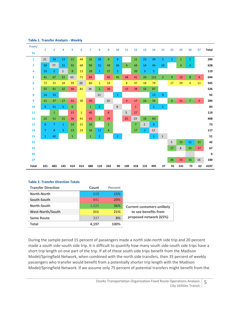| From/          |                |                |                |              |              |                |                |                |                |                |                |                |              |                |              |              |                |                |              |
|----------------|----------------|----------------|----------------|--------------|--------------|----------------|----------------|----------------|----------------|----------------|----------------|----------------|--------------|----------------|--------------|--------------|----------------|----------------|--------------|
| To             | $\mathbf{1}$   | $\overline{2}$ | 4              | 5            | 6            | $\overline{7}$ | 8              | 9              | 10             | 11             | 12             | 13             | 14           | 15             | 22           | 25           | 26             | 27             | <b>Total</b> |
| $\mathbf{1}$   | 21             | 34             | 13             | 21           | 44           | 32             | 28             | 9              | 6              |                | 11             | 23             | 39           | 5              | $\mathbf{1}$ | $\mathbf{1}$ | $\mathbf{1}$   |                | 289          |
| $\overline{2}$ | 50             | 77             | 15             | 55           | 68           | 99             | 31             | 49             | 26             | 4              | 69             | 14             | 44           | 19             |              | 4            | 4              |                | 628          |
| 4              | 10             | $\overline{2}$ | $\mathbf{1}$   | 8            | 13           | 28             | $\mathbf{1}$   | 27             | $\mathbf{1}$   |                | 20             | 3              | 5            |                |              |              |                |                | 119          |
| 5              | 41             | 67             | 22             | 65           | 71           | 84             |                | 45             | 45             | 48             | 41             | 20             | 112          | $\overline{2}$ | 9            | 10           | 8              | $\overline{4}$ | 694          |
| 6              | 72             | 22             | 18             | 59           | 26           | 60             | $\mathbf{1}$   | 24             |                | 8              | 47             | 18             | 79           |                | 17           | 39           | 4              | 11             | 505          |
| $\overline{7}$ | 55             | 61             | 32             | 68           | 81           | 36             | $\mathbf{1}$   | 36             |                | 15             | 38             | 16             | 87           |                |              |              |                |                | 526          |
| 8              | 14             | 33             |                |              |              |                | 21             |                | 2 <sup>1</sup> |                |                |                | 13           | 9              |              |              |                |                | 92           |
| 9              | 11             | 37             | 17             | 31           | 30           | 30             |                | 10             |                | $\overline{4}$ | 17             | 16             | 34           |                | 6            | 31           | $\overline{7}$ | 3              | 284          |
| 10             | $\overline{9}$ | 41             | 6              | 6            |              | $\mathbf{1}$   | 9              |                | 8              |                | $\mathbf{1}$   |                | $\mathbf{1}$ | $1\,$          |              |              |                |                | 83           |
| 11             |                | $\mathbf{1}$   |                | 37           | $\mathbf{1}$ | 40             |                | 8              |                | 5              | 27             |                |              |                |              |              |                |                | 119          |
| 12             | 22             | 51             | 15             | 36           | 41           | 43             | 5              | 29             |                | 65             | 23             | 18             | 60           |                |              |              |                |                | 408          |
| 13             | 8              | $\overline{7}$ | $\mathbf{1}$   | 14           | 15           | 10             |                | $\mathbf{1}$   |                |                | $\overline{7}$ | $\overline{2}$ | 8            |                |              |              |                |                | 73           |
| 14             | $\overline{7}$ | 8              | $\overline{5}$ | 13           | 23           | 16             | 11             | $\overline{4}$ |                |                | 17             | $\mathbf{1}$   | 12           |                |              |              |                |                | 117          |
| 15             | $\mathbf{1}$   | 42             |                | $\mathbf{1}$ |              | $\mathbf{1}$   | $\overline{2}$ |                | $\overline{2}$ |                |                |                | $\mathbf{1}$ | $\mathbf{1}$   |              |              |                |                | 51           |
| 22             |                |                |                |              |              |                |                |                |                |                |                |                |              |                | 5            | 15           | 11             | 11             | 42           |
| 25             |                |                |                |              |              |                |                |                |                |                |                |                |              |                | 17           | 8            | 25             | 17             | 67           |
| 26             |                |                |                |              |              |                |                |                |                |                |                |                |              |                |              |              |                |                | $\pmb{0}$    |
| 27             |                |                |                |              |              |                |                |                |                |                |                |                |              |                | 36           | 33           | 15             | 16             | 100          |
| <b>Total</b>   | 321            | 483            | 145            | 414          | 413          | 480            | 110            | 242            | 90             | 149            | 318            | 131            | 495          | 37             | 91           | 141          | 75             | 62             | 4197         |

#### <span id="page-8-0"></span>**Table 1. Transfer Analysis - Weekly**

#### <span id="page-8-1"></span>**Table 2. Transfer Direction Totals**

| <b>Transfer Direction</b> | Count | Percent    |                                   |
|---------------------------|-------|------------|-----------------------------------|
| North-North               | 628   | <b>15%</b> |                                   |
| South-South               | 841   | 20%        |                                   |
| North-South               | 1,525 | 36%        | <b>Current customers unlikely</b> |
| <b>West-North/South</b>   | 866   | 21%        | to see benefits from              |
| <b>Same Route</b>         | 337   | 8%         | proposed network (65%)            |
| <b>Total</b>              | 4.197 | 100%       |                                   |

During the sample period 15 percent of passengers made a north side-north side trip and 20 percent made a south side-south side trip. It is difficult to quantify how many south side-south side trips have a short trip length on one part of the trip. If all of these south side trips benefit from the Madison Model/Springfield Network, when combined with the north side transfers, then 35 percent of weekly passengers who transfer would benefit from a potentially shorter trip length with the Madison Model/Springfield Network. If we assume only 75 percent of potential transfers might benefit from the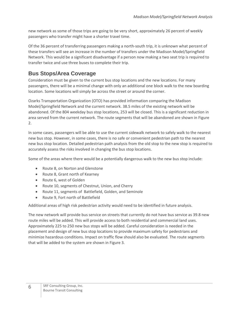new network as some of those trips are going to be very short, approximately 26 percent of weekly passengers who transfer might have a shorter travel time.

Of the 36 percent of transferring passengers making a north-south trip, it is unknown what percent of these transfers will see an increase in the number of transfers under the Madison Model/Springfield Network. This would be a significant disadvantage if a person now making a two seat trip is required to transfer twice and use three buses to complete their trip.

### <span id="page-9-0"></span>**Bus Stops/Area Coverage**

Consideration must be given to the current bus stop locations and the new locations. For many passengers, there will be a minimal change with only an additional one block walk to the new boarding location. Some locations will simply be across the street or around the corner.

Ozarks Transportation Organization (OTO) has provided information comparing the Madison Model/Springfield Network and the current network. 38.5 miles of the existing network will be abandoned. Of the 804 weekday bus stop locations, 253 will be closed. This is a significant reduction in area served from the current network. The route segments that will be abandoned are shown in [Figure](#page-10-0)  [2.](#page-10-0)

In some cases, passengers will be able to use the current sidewalk network to safely walk to the nearest new bus stop. However, in some cases, there is no safe or convenient pedestrian path to the nearest new bus stop location. Detailed pedestrian path analysis from the old stop to the new stop is required to accurately assess the risks involved in changing the bus stop locations.

Some of the areas where there would be a potentially dangerous walk to the new bus stop include:

- Route 8, on Norton and Glenstone
- Route 8, Grant north of Kearney
- Route 6, west of Golden
- Route 10, segments of Chestnut, Union, and Cherry
- Route 11, segments of Battlefield, Golden, and Seminole
- Route 9, Fort north of Battlefield

Additional areas of high risk pedestrian activity would need to be identified in future analysis.

The new network will provide bus service on streets that currently do not have bus service as 39.8 new route miles will be added. This will provide access to both residential and commercial land uses. Approximately 225 to 250 new bus stops will be added. Careful consideration is needed in the placement and design of new bus stop locations to provide maximum safety for pedestrians and minimize hazardous conditions. Impact on traffic flow should also be evaluated. The route segments that will be added to the system are shown i[n Figure 3.](#page-11-0)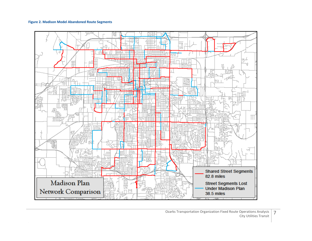#### **Figure 2. Madison Model Abandoned Route Segments**

<span id="page-10-0"></span>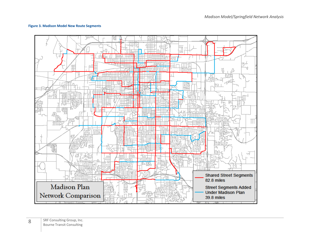#### **Figure 3. Madison Model New Route Segments**

<span id="page-11-0"></span>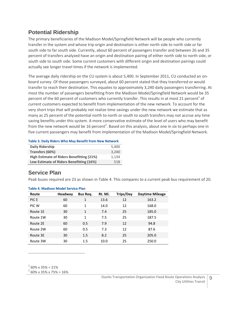### <span id="page-12-0"></span>**Potential Ridership**

The primary beneficiaries of the Madison Model/Springfield Network will be people who currently transfer in the system and whose trip origin and destination is either north side to north side or far south side to far south side. Currently, about 60 percent of passengers transfer and between 26 and 35 percent of transfers analyzed have an origin and destination pairing of either north side to north side, or south side to south side. Some current customers with different origin and destination pairings could actually see longer travel times if the network is implemented.

The average daily ridership on the CU system is about 5,400. In September 2011, CU conducted an onboard survey. Of those passengers surveyed, about 60 percent stated that they transferred or would transfer to reach their destination. This equates to approximately 3,240 daily passengers transferring. At most the number of passengers benefitting from the Madison Model/Springfield Network would be 35 percent of the 60 percent of customers who currently transfer. This results in at most 21 percent<sup>1</sup> of current customers expected to benefit from implementation of the new network. To account for the very short trips that will probably not realize time savings under the new network we estimate that as many as 25 percent of the potential north to north or south to south transfers may not accrue any time saving benefits under this system. A more conservative estimate of the level of users who may benefit from the new network would be 16 percent<sup>2</sup>. Based on this analysis, about one in six to perhaps one in five current passengers may benefit from implementation of the Madison Model/Springfield Network.

#### <span id="page-12-2"></span>**Table 3. Daily Riders Who May Benefit from New Network Daily Ridership** 5,400 **Transfers (60%)** 3,240 **High Estimate of Riders Benefitting (21%)** 1,134 **Low Estimate of Riders Benefitting (16%)** 518

### <span id="page-12-1"></span>**Service Plan**

Peak buses required are 23 as shown i[n Table 4.](#page-12-3) This compares to a current peak bus requirement of 20.

| Route    | Headway | Bus Req.     | Rt. Mi. | <b>Trips/Day</b> | <b>Daytime Mileage</b> |
|----------|---------|--------------|---------|------------------|------------------------|
| PIC E    | 60      | $\mathbf{1}$ | 13.6    | 12               | 163.2                  |
| PIC W    | 60      | $\mathbf{1}$ | 14.0    | 12               | 168.0                  |
| Route 1E | 30      | $\mathbf{1}$ | 7.4     | 25               | 185.0                  |
| Route 1W | 30      | 1            | 7.5     | 25               | 187.5                  |
| Route 2E | 60      | 0.5          | 7.9     | 12               | 94.8                   |
| Route 2W | 60      | 0.5          | 7.3     | 12               | 87.6                   |
| Route 3E | 30      | 1.5          | 8.2     | 25               | 205.0                  |
| Route 3W | 30      | 1.5          | 10.0    | 25               | 250.0                  |

#### <span id="page-12-3"></span>**Table 4. Madison Model Service Plan**

 $1\,60\%$  x 35% = 21%

 $\overline{a}$ 

 $^{2}$  60% x 35% x 75% = 16%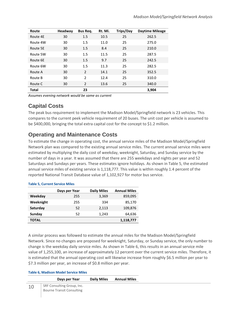| Route        | Headway | <b>Bus Req.</b> | Rt. Mi. | <b>Trips/Day</b> | <b>Daytime Mileage</b> |
|--------------|---------|-----------------|---------|------------------|------------------------|
| Route 4E     | 30      | 1.5             | 10.5    | 25               | 262.5                  |
| Route 4W     | 30      | 1.5             | 11.0    | 25               | 275.0                  |
| Route 5E     | 30      | 1.5             | 8.4     | 25               | 210.0                  |
| Route 5W     | 30      | 1.5             | 11.5    | 25               | 287.5                  |
| Route 6E     | 30      | 1.5             | 9.7     | 25               | 242.5                  |
| Route 6W     | 30      | 1.5             | 11.3    | 25               | 282.5                  |
| Route A      | 30      | 2               | 14.1    | 25               | 352.5                  |
| Route B      | 30      | $\overline{2}$  | 12.4    | 25               | 310.0                  |
| Route C      | 30      | 2               | 13.6    | 25               | 340.0                  |
| <b>Total</b> |         | 23              |         |                  | 3,904                  |

*Assumes evening network would be same as current*

### <span id="page-13-0"></span>**Capital Costs**

The peak bus requirement to implement the Madison Model/Springfield network is 23 vehicles. This compares to the current peek vehicle requirement of 20 buses. The unit cost per vehicle is assumed to be \$400,000, bringing the total extra capital cost for the concept to \$1.2 million.

### <span id="page-13-1"></span>**Operating and Maintenance Costs**

To estimate the change in operating cost, the annual service miles of the Madison Model/Springfield Network plan was compared to the existing annual service miles. The current annual service miles were estimated by multiplying the daily cost of weekday, weeknight, Saturday, and Sunday service by the number of days in a year. It was assumed that there are 255 weekdays and nights per year and 52 Saturdays and Sundays per years. These estimates ignore holidays. As shown in [Table 5,](#page-13-2) the estimated annual service miles of existing service is 1,118,777. This value is within roughly 1.4 percent of the reported National Transit Database value of 1,102,927 for motor bus service.

|           | Days per Year | <b>Daily Miles</b> | <b>Annual Miles</b> |
|-----------|---------------|--------------------|---------------------|
| Weekday   | 255           | 3,369              | 859,095             |
| Weeknight | 255           | 334                | 85,170              |
| Saturday  | 52            | 2,113              | 109,876             |
| Sunday    | 52            | 1,243              | 64,636              |
| TOTAL     |               |                    | 1,118,777           |

#### <span id="page-13-2"></span>**Table 5, Current Service Miles**

A similar process was followed to estimate the annual miles for the Madison Model/Springfield Network. Since no changes are proposed for weeknight, Saturday, or Sunday service, the only number to change is the weekday daily service miles. As shown in [Table 6,](#page-13-3) this results in an annual service mile value of 1,255,100, an increase of approximately 12 percent over the current service miles. Therefore, it is estimated that the annual operating cost will likewise increase from roughly \$6.5 million per year to \$7.3 million per year, an increase of \$0.8 million per year.

#### <span id="page-13-3"></span>**Table 6, Madison Model Service Miles**

|    | Days per Year                    | <b>Daily Miles</b> | <b>Annual Miles</b> |
|----|----------------------------------|--------------------|---------------------|
| 10 | SRF Consulting Group, Inc.       |                    |                     |
|    | <b>Bourne Transit Consulting</b> |                    |                     |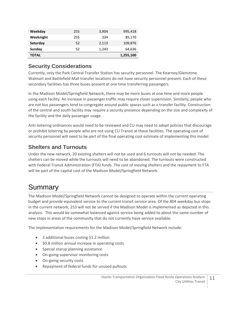| Weekday   | 255 | 3,904 | 995,418   |
|-----------|-----|-------|-----------|
| Weeknight | 255 | 334   | 85,170    |
| Saturday  | 52  | 2,113 | 109,876   |
| Sunday    | 52  | 1,243 | 64,636    |
| ΤΟΤΑL     |     |       | 1,255,100 |

### <span id="page-14-0"></span>**Security Considerations**

Currently, only the Park Central Transfer Station has security personnel. The Kearney/Glenstone Walmart and Battlefield Mall transfer locations do not have security personnel present. Each of these secondary facilities has three buses present at one time transferring passengers.

In the Madison Model/Springfield Network, there may be more buses at one time and more people using each facility. An increase in passenger traffic may require closer supervision. Similarly, people who are not bus passengers tend to congregate around public spaces such as a transfer facility. Construction of the central and south facility may require a security presence depending on the size and complexity of the facility and the daily passenger usage.

Anti-loitering ordinances would need to be reviewed and CU may need to adopt policies that discourage or prohibit loitering by people who are not using CU Transit at these facilities. The operating cost of security personnel will need to be part of the final operating cost estimate of implementing this model.

### <span id="page-14-1"></span>**Shelters and Turnouts**

Under the new network, 20 existing shelters will not be used and 6 turnouts will not be needed. The shelters can be moved while the turnouts will need to be abandoned. The turnouts were constructed with Federal Transit Administration (FTA) funds. The cost of moving shelters and the repayment to FTA will be part of the capital cost of the Madison Model/Springfield Network.

## <span id="page-14-2"></span>Summary

The Madison Model/Springfield Network cannot be designed to operate within the current operating budget and provide equivalent service to the current transit service area. Of the 804 weekday bus stops in the current network, 253 will not be served if the Madison Model is implemented as depicted in this analysis. This would be somewhat balanced against service being added to about the same number of new stops in areas of the community that do not currently have service available.

The implementation requirements for the Madison Model/Springfield Network include:

- 3 additional buses costing \$1.2 million
- \$0.8 million annual increase in operating costs
- Special starup planning assistance
- On-going supervisor monitoring costs
- On-going security costs
- Repayment of federal funds for unused pullouts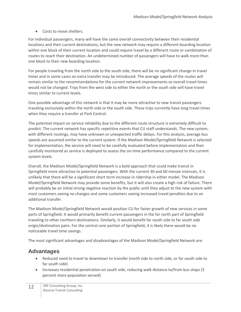Costs to move shelters.

For individual passengers, many will have the same overall connectivity between their residential locations and their current destinations, but the new network may require a different boarding location within one block of their current location and could require travel by a different route or combination of routes to reach their destination. An undetermined number of passengers will have to walk more than one block to their new boarding location.

For people traveling from the north side to the south side, there will be no significant change in travel times and in some cases an extra transfer may be introduced. The average speeds of the routes will remain similar to the recommendations for the current network improvements so overall travel times would not be changed. Trips from the west side to either the north or the south side will have travel times similar to current levels.

One possible advantage of this network is that it may be more attractive to new transit passengers traveling exclusively within the north side or the south side. These trips currently have long travel times when they require a transfer at Park Central.

The potential impact on service reliability due to the different route structure is extremely difficult to predict. The current network has specific repetitive events that CU staff understands. The new system, with different routings, may have unknown or unexpected traffic delays. For this analysis, average bus speeds are assumed similar to the current system. If the Madison Model/Springfield Network is selected for implementation, the service will need to be carefully evaluated before implementation and then carefully monitored as service is deployed to assess the on-time performance compared to the current system levels.

Overall, the Madison Model/Springfield Network is a bold approach that could make transit in Springfield more attractive to potential passengers. With the current 30 and 60 minute intervals, it is unlikely that there will be a significant short term increase in ridership in either model. The Madison Model/Springfield Network may provide some benefits, but it will also create a high risk of failure. There will probably be an initial strong negative reaction by the public until they adjust to the new system with most customers seeing no changes and some customers seeing increased travel penalties due to an additional transfer.

The Madison Model/Springfield Network would position CU for faster growth of new services in some parts of Springfield. It would primarily benefit current passengers in the far north part of Springfield traveling to other northern destinations. Similarly, it would benefit far south side to far south side origin/destination pairs. For the central core portion of Springfield, it is likely there would be no noticeable travel time savings.

The most significant advantages and disadvantages of the Madison Model/Springfield Network are:

### <span id="page-15-0"></span>**Advantages**

- Reduced need to travel to downtown to transfer (north side to north side, or far south side to far south side)
- Increases residential penetration on south side; reducing walk distance to/from bus stops (3 percent more population served)